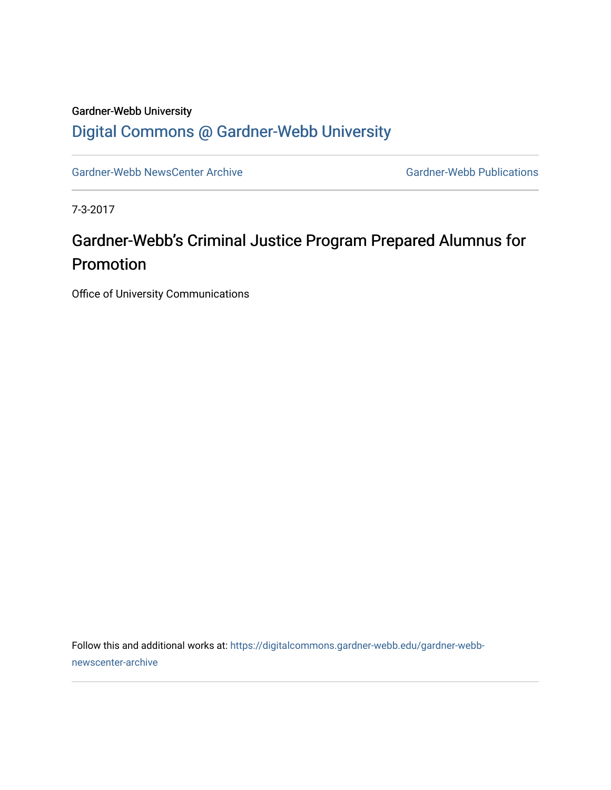## Gardner-Webb University [Digital Commons @ Gardner-Webb University](https://digitalcommons.gardner-webb.edu/)

[Gardner-Webb NewsCenter Archive](https://digitalcommons.gardner-webb.edu/gardner-webb-newscenter-archive) Gardner-Webb Publications

7-3-2017

## Gardner-Webb's Criminal Justice Program Prepared Alumnus for Promotion

Office of University Communications

Follow this and additional works at: [https://digitalcommons.gardner-webb.edu/gardner-webb](https://digitalcommons.gardner-webb.edu/gardner-webb-newscenter-archive?utm_source=digitalcommons.gardner-webb.edu%2Fgardner-webb-newscenter-archive%2F583&utm_medium=PDF&utm_campaign=PDFCoverPages)[newscenter-archive](https://digitalcommons.gardner-webb.edu/gardner-webb-newscenter-archive?utm_source=digitalcommons.gardner-webb.edu%2Fgardner-webb-newscenter-archive%2F583&utm_medium=PDF&utm_campaign=PDFCoverPages)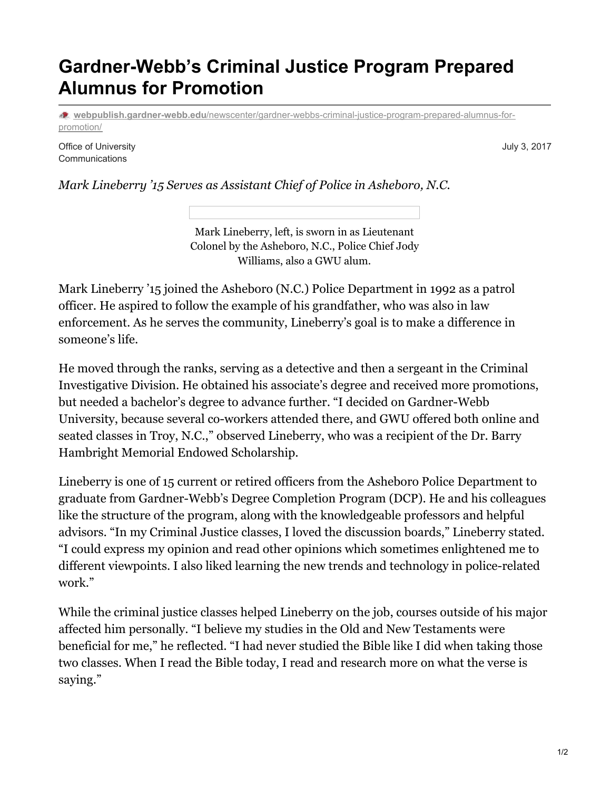## **Gardner-Webb's Criminal Justice Program Prepared Alumnus for Promotion**

**webpublish.gardner-webb.edu**[/newscenter/gardner-webbs-criminal-justice-program-prepared-alumnus-for](https://webpublish.gardner-webb.edu/newscenter/gardner-webbs-criminal-justice-program-prepared-alumnus-for-promotion/)promotion/

Office of University **Communications** 

July 3, 2017

*Mark Lineberry '15 Serves as Assistant Chief of Police in Asheboro, N.C.*

Mark Lineberry, left, is sworn in as Lieutenant Colonel by the Asheboro, N.C., Police Chief Jody Williams, also a GWU alum.

Mark Lineberry '15 joined the Asheboro (N.C.) Police Department in 1992 as a patrol officer. He aspired to follow the example of his grandfather, who was also in law enforcement. As he serves the community, Lineberry's goal is to make a difference in someone's life.

He moved through the ranks, serving as a detective and then a sergeant in the Criminal Investigative Division. He obtained his associate's degree and received more promotions, but needed a bachelor's degree to advance further. "I decided on Gardner-Webb University, because several co-workers attended there, and GWU offered both online and seated classes in Troy, N.C.," observed Lineberry, who was a recipient of the Dr. Barry Hambright Memorial Endowed Scholarship.

Lineberry is one of 15 current or retired officers from the Asheboro Police Department to graduate from Gardner-Webb's Degree Completion Program (DCP). He and his colleagues like the structure of the program, along with the knowledgeable professors and helpful advisors. "In my Criminal Justice classes, I loved the discussion boards," Lineberry stated. "I could express my opinion and read other opinions which sometimes enlightened me to different viewpoints. I also liked learning the new trends and technology in police-related work."

While the criminal justice classes helped Lineberry on the job, courses outside of his major affected him personally. "I believe my studies in the Old and New Testaments were beneficial for me," he reflected. "I had never studied the Bible like I did when taking those two classes. When I read the Bible today, I read and research more on what the verse is saying."